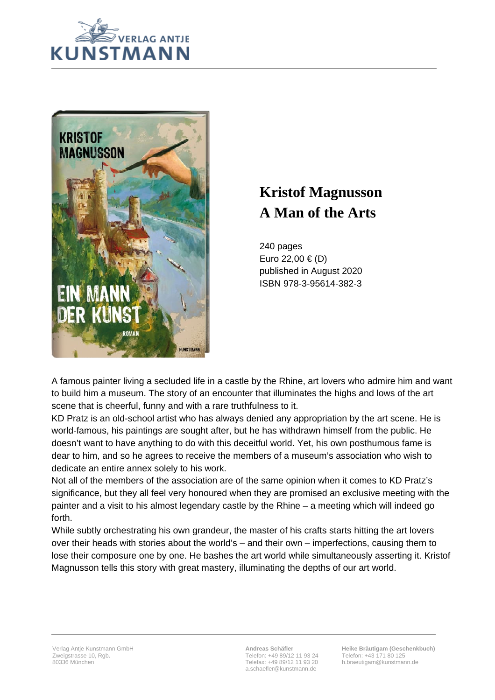



## **Kristof Magnusson A Man of the Arts**

240 pages Euro 22,00 € (D) published in August 2020 ISBN 978-3-95614-382-3

A famous painter living a secluded life in a castle by the Rhine, art lovers who admire him and want to build him a museum. The story of an encounter that illuminates the highs and lows of the art scene that is cheerful, funny and with a rare truthfulness to it.

KD Pratz is an old-school artist who has always denied any appropriation by the art scene. He is world-famous, his paintings are sought after, but he has withdrawn himself from the public. He doesn't want to have anything to do with this deceitful world. Yet, his own posthumous fame is dear to him, and so he agrees to receive the members of a museum's association who wish to dedicate an entire annex solely to his work.

Not all of the members of the association are of the same opinion when it comes to KD Pratz's significance, but they all feel very honoured when they are promised an exclusive meeting with the painter and a visit to his almost legendary castle by the Rhine – a meeting which will indeed go forth.

While subtly orchestrating his own grandeur, the master of his crafts starts hitting the art lovers over their heads with stories about the world's – and their own – imperfections, causing them to lose their composure one by one. He bashes the art world while simultaneously asserting it. Kristof Magnusson tells this story with great mastery, illuminating the depths of our art world.